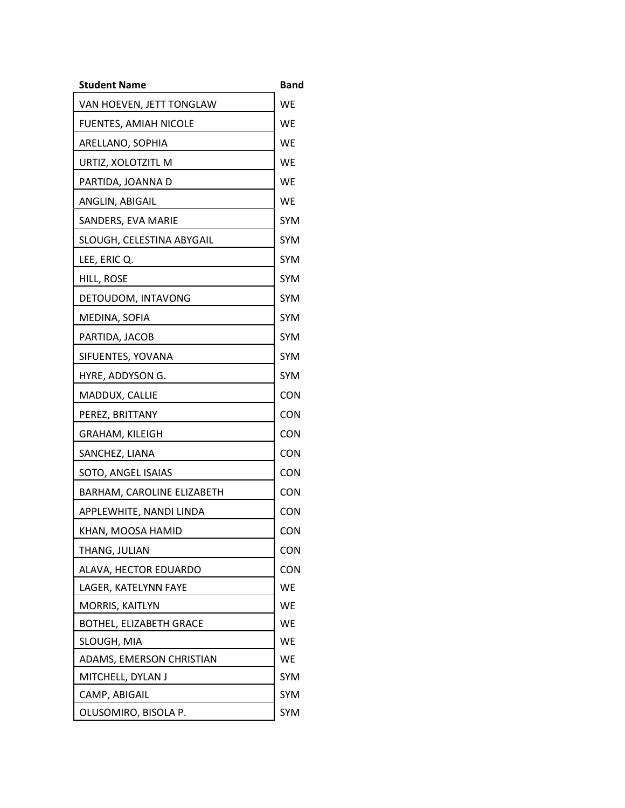| <b>Student Name</b>            | <b>Band</b> |
|--------------------------------|-------------|
| VAN HOEVEN, JETT TONGLAW       | <b>WE</b>   |
| FUENTES, AMIAH NICOLE          | WE          |
| ARELLANO, SOPHIA               | <b>WE</b>   |
| URTIZ, XOLOTZITL M             | WE          |
| PARTIDA, JOANNA D              | WE          |
| ANGLIN, ABIGAIL                | WE          |
| SANDERS, EVA MARIE             | <b>SYM</b>  |
| SLOUGH, CELESTINA ABYGAIL      | <b>SYM</b>  |
| LEE, ERIC Q.                   | <b>SYM</b>  |
| HILL, ROSE                     | <b>SYM</b>  |
| DETOUDOM, INTAVONG             | <b>SYM</b>  |
| MEDINA, SOFIA                  | <b>SYM</b>  |
| PARTIDA, JACOB                 | <b>SYM</b>  |
| SIFUENTES, YOVANA              | <b>SYM</b>  |
| HYRE, ADDYSON G.               | <b>SYM</b>  |
| MADDUX, CALLIE                 | <b>CON</b>  |
| PEREZ, BRITTANY                | <b>CON</b>  |
| GRAHAM, KILEIGH                | <b>CON</b>  |
| SANCHEZ, LIANA                 | <b>CON</b>  |
| SOTO, ANGEL ISAIAS             | <b>CON</b>  |
| BARHAM, CAROLINE ELIZABETH     | <b>CON</b>  |
| APPLEWHITE, NANDI LINDA        | <b>CON</b>  |
| KHAN, MOOSA HAMID              | <b>CON</b>  |
| THANG, JULIAN                  | <b>CON</b>  |
| ALAVA, HECTOR EDUARDO          | <b>CON</b>  |
| LAGER, KATELYNN FAYE           | <b>WE</b>   |
| MORRIS, KAITLYN                | WE          |
| <b>BOTHEL, ELIZABETH GRACE</b> | <b>WE</b>   |
| SLOUGH, MIA                    | WE          |
| ADAMS, EMERSON CHRISTIAN       | WE          |
| MITCHELL, DYLAN J              | <b>SYM</b>  |
| CAMP, ABIGAIL                  | <b>SYM</b>  |
| OLUSOMIRO, BISOLA P.           | SYM         |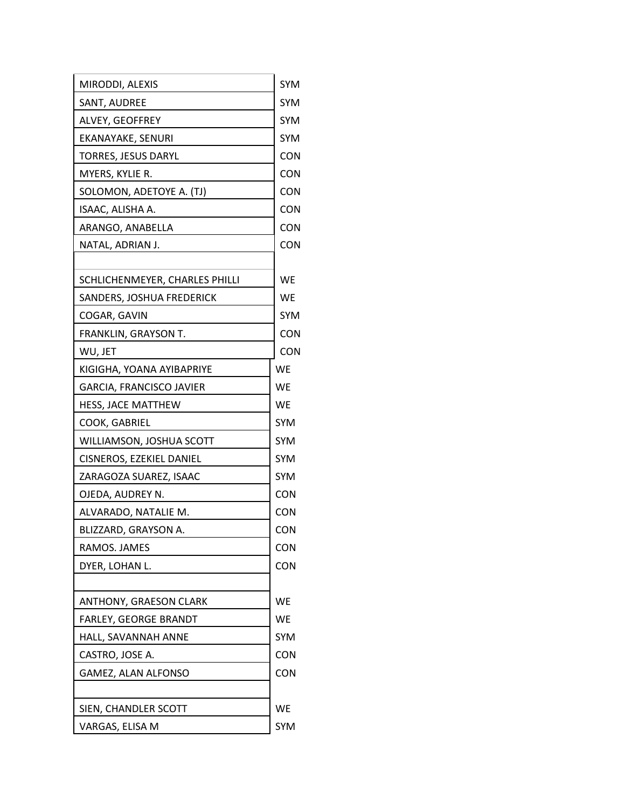| MIRODDI, ALEXIS                              | <b>SYM</b> |
|----------------------------------------------|------------|
| SANT, AUDREE                                 | SYM        |
| ALVEY, GEOFFREY                              | <b>SYM</b> |
| EKANAYAKE, SENURI                            | <b>SYM</b> |
| TORRES, JESUS DARYL                          | CON        |
| MYERS, KYLIE R.                              | <b>CON</b> |
| SOLOMON, ADETOYE A. (TJ)                     | CON        |
| ISAAC, ALISHA A.                             | <b>CON</b> |
| ARANGO, ANABELLA                             | CON        |
| NATAL, ADRIAN J.                             | CON        |
| SCHLICHENMEYER, CHARLES PHILLI               | WE         |
| SANDERS, JOSHUA FREDERICK                    | WE         |
| COGAR, GAVIN                                 | SYM        |
| FRANKLIN, GRAYSON T.                         | <b>CON</b> |
| WU, JET                                      | <b>CON</b> |
| KIGIGHA, YOANA AYIBAPRIYE                    | <b>WE</b>  |
| GARCIA, FRANCISCO JAVIER                     | WE         |
| HESS, JACE MATTHEW                           | WE         |
| COOK, GABRIEL                                | <b>SYM</b> |
| WILLIAMSON, JOSHUA SCOTT                     | <b>SYM</b> |
| CISNEROS, EZEKIEL DANIEL                     | <b>SYM</b> |
| ZARAGOZA SUAREZ, ISAAC                       | <b>SYM</b> |
| OJEDA, AUDREY N.                             | <b>CON</b> |
| ALVARADO, NATALIE M.                         | CON        |
| BLIZZARD, GRAYSON A.                         | CON        |
| RAMOS. JAMES                                 | CON        |
| DYER, LOHAN L.                               | CON        |
| <b>ANTHONY, GRAESON CLARK</b>                | WE         |
|                                              | WE         |
| FARLEY, GEORGE BRANDT<br>HALL, SAVANNAH ANNE | <b>SYM</b> |
|                                              |            |
| CASTRO, JOSE A.                              | <b>CON</b> |
| GAMEZ, ALAN ALFONSO                          | CON        |
| SIEN, CHANDLER SCOTT                         | WE         |
| VARGAS, ELISA M                              | <b>SYM</b> |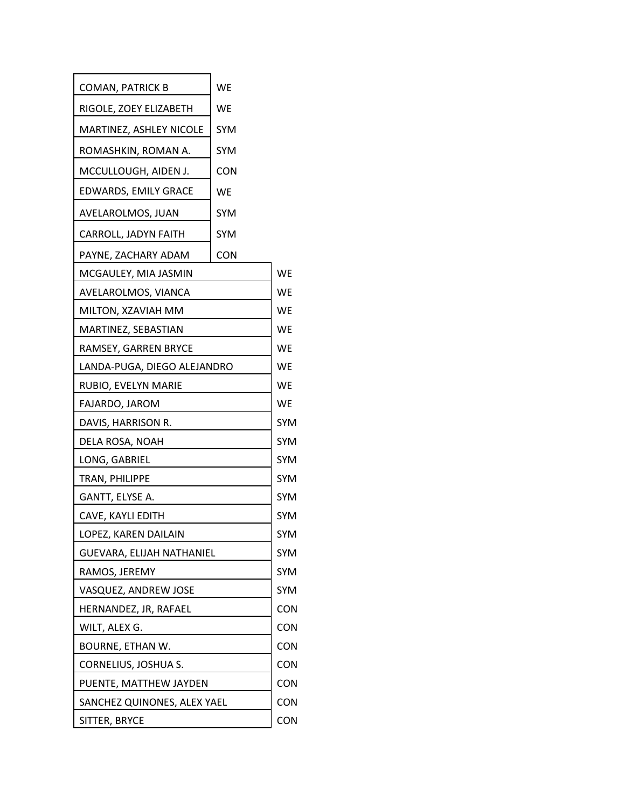| COMAN, PATRICK B            | WE         |            |
|-----------------------------|------------|------------|
| RIGOLE, ZOEY ELIZABETH      | WE         |            |
| MARTINEZ, ASHLEY NICOLE     | <b>SYM</b> |            |
| ROMASHKIN, ROMAN A.         | <b>SYM</b> |            |
| MCCULLOUGH, AIDEN J.        | <b>CON</b> |            |
| EDWARDS, EMILY GRACE        | WE         |            |
| AVELAROLMOS, JUAN           | <b>SYM</b> |            |
| CARROLL, JADYN FAITH        | <b>SYM</b> |            |
| PAYNE, ZACHARY ADAM         | <b>CON</b> |            |
| MCGAULEY, MIA JASMIN        |            | <b>WE</b>  |
| AVELAROLMOS, VIANCA         |            | WE         |
| MILTON, XZAVIAH MM          |            | WE         |
| MARTINEZ, SEBASTIAN         |            | WE         |
| RAMSEY, GARREN BRYCE        |            | <b>WE</b>  |
| LANDA-PUGA, DIEGO ALEJANDRO |            | WE         |
| RUBIO, EVELYN MARIE         |            | WE         |
| FAJARDO, JAROM              |            | WE         |
| DAVIS, HARRISON R.          |            | <b>SYM</b> |
| DELA ROSA, NOAH             |            | SYM        |
| LONG, GABRIEL               |            | <b>SYM</b> |
| TRAN, PHILIPPE              |            | <b>SYM</b> |
| GANTT, ELYSE A.             |            | <b>SYM</b> |
| CAVE, KAYLI EDITH           |            | <b>SYM</b> |
| LOPEZ, KAREN DAILAIN        |            | SYM        |
| GUEVARA, ELIJAH NATHANIEL   |            | <b>SYM</b> |
| RAMOS, JEREMY               |            | <b>SYM</b> |
| VASQUEZ, ANDREW JOSE        |            | <b>SYM</b> |
| HERNANDEZ, JR, RAFAEL       |            | <b>CON</b> |
| WILT, ALEX G.               |            | <b>CON</b> |
| BOURNE, ETHAN W.            |            | CON        |
| CORNELIUS, JOSHUA S.        |            | <b>CON</b> |
| PUENTE, MATTHEW JAYDEN      |            | <b>CON</b> |
| SANCHEZ QUINONES, ALEX YAEL |            | <b>CON</b> |
| SITTER, BRYCE               |            | CON        |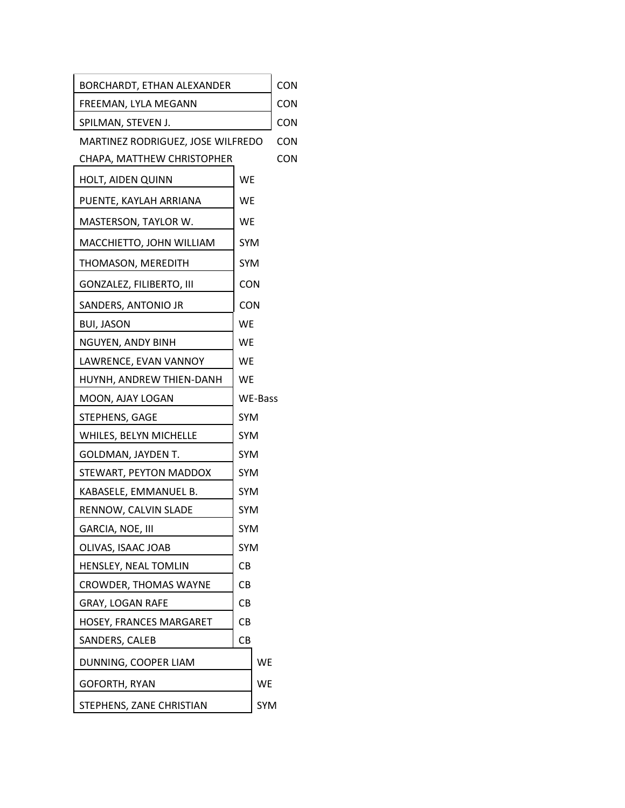| BORCHARDT, ETHAN ALEXANDER        |            | CON        |            |
|-----------------------------------|------------|------------|------------|
| FREEMAN, LYLA MEGANN              |            |            | <b>CON</b> |
| SPILMAN, STEVEN J.                |            |            | <b>CON</b> |
| MARTINEZ RODRIGUEZ, JOSE WILFREDO |            |            | <b>CON</b> |
| CHAPA, MATTHEW CHRISTOPHER        |            |            | <b>CON</b> |
| HOLT, AIDEN QUINN                 | WE         |            |            |
| PUENTE, KAYLAH ARRIANA            | WE         |            |            |
| MASTERSON, TAYLOR W.              | <b>WE</b>  |            |            |
| MACCHIETTO, JOHN WILLIAM          | <b>SYM</b> |            |            |
| THOMASON, MEREDITH                | <b>SYM</b> |            |            |
| GONZALEZ, FILIBERTO, III          | <b>CON</b> |            |            |
| SANDERS, ANTONIO JR               |            |            |            |
| <b>BUI, JASON</b>                 | CON        |            |            |
| NGUYEN, ANDY BINH                 | WE<br>WE   |            |            |
| LAWRENCE, EVAN VANNOY             | WE         |            |            |
| HUYNH, ANDREW THIEN-DANH          | WE         |            |            |
| MOON, AJAY LOGAN                  | WE-Bass    |            |            |
| STEPHENS, GAGE                    | <b>SYM</b> |            |            |
| WHILES, BELYN MICHELLE            | <b>SYM</b> |            |            |
| GOLDMAN, JAYDEN T.                | <b>SYM</b> |            |            |
| STEWART, PEYTON MADDOX            | <b>SYM</b> |            |            |
| KABASELE, EMMANUEL B.             | <b>SYM</b> |            |            |
| RENNOW, CALVIN SLADE              | <b>SYM</b> |            |            |
| GARCIA, NOE, III                  | SYM        |            |            |
| OLIVAS, ISAAC JOAB                | <b>SYM</b> |            |            |
| HENSLEY, NEAL TOMLIN              | CВ         |            |            |
| <b>CROWDER, THOMAS WAYNE</b>      | CВ         |            |            |
| <b>GRAY, LOGAN RAFE</b>           | CВ         |            |            |
| HOSEY, FRANCES MARGARET           | CВ         |            |            |
| SANDERS, CALEB                    | CВ         |            |            |
| DUNNING, COOPER LIAM              |            | WE         |            |
| GOFORTH, RYAN                     |            | WE         |            |
| STEPHENS, ZANE CHRISTIAN          |            | <b>SYM</b> |            |